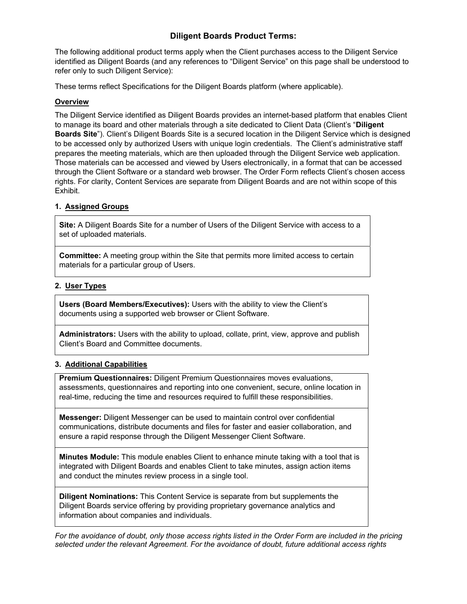# **Diligent Boards Product Terms:**

The following additional product terms apply when the Client purchases access to the Diligent Service identified as Diligent Boards (and any references to "Diligent Service" on this page shall be understood to refer only to such Diligent Service):

These terms reflect Specifications for the Diligent Boards platform (where applicable).

## **Overview**

The Diligent Service identified as Diligent Boards provides an internet-based platform that enables Client to manage its board and other materials through a site dedicated to Client Data (Client's "**Diligent Boards Site**"). Client's Diligent Boards Site is a secured location in the Diligent Service which is designed to be accessed only by authorized Users with unique login credentials. The Client's administrative staff prepares the meeting materials, which are then uploaded through the Diligent Service web application. Those materials can be accessed and viewed by Users electronically, in a format that can be accessed through the Client Software or a standard web browser. The Order Form reflects Client's chosen access rights. For clarity, Content Services are separate from Diligent Boards and are not within scope of this Exhibit.

# **1. Assigned Groups**

**Site:** A Diligent Boards Site for a number of Users of the Diligent Service with access to a set of uploaded materials.

**Committee:** A meeting group within the Site that permits more limited access to certain materials for a particular group of Users.

# **2. User Types**

**Users (Board Members/Executives):** Users with the ability to view the Client's documents using a supported web browser or Client Software.

**Administrators:** Users with the ability to upload, collate, print, view, approve and publish Client's Board and Committee documents.

# **3. Additional Capabilities**

**Premium Questionnaires:** Diligent Premium Questionnaires moves evaluations, assessments, questionnaires and reporting into one convenient, secure, online location in real-time, reducing the time and resources required to fulfill these responsibilities.

**Messenger:** Diligent Messenger can be used to maintain control over confidential communications, distribute documents and files for faster and easier collaboration, and ensure a rapid response through the Diligent Messenger Client Software.

**Minutes Module:** This module enables Client to enhance minute taking with a tool that is integrated with Diligent Boards and enables Client to take minutes, assign action items and conduct the minutes review process in a single tool.

**Diligent Nominations:** This Content Service is separate from but supplements the Diligent Boards service offering by providing proprietary governance analytics and information about companies and individuals.

*For the avoidance of doubt, only those access rights listed in the Order Form are included in the pricing selected under the relevant Agreement. For the avoidance of doubt, future additional access rights*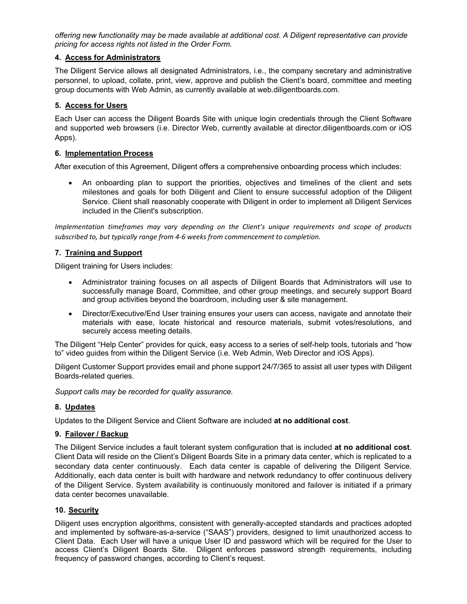*offering new functionality may be made available at additional cost. A Diligent representative can provide pricing for access rights not listed in the Order Form.* 

## **4. Access for Administrators**

The Diligent Service allows all designated Administrators, i.e., the company secretary and administrative personnel, to upload, collate, print, view, approve and publish the Client's board, committee and meeting group documents with Web Admin, as currently available at web.diligentboards.com.

# **5. Access for Users**

Each User can access the Diligent Boards Site with unique login credentials through the Client Software and supported web browsers (i.e. Director Web, currently available at director.diligentboards.com or iOS Apps).

### **6. Implementation Process**

After execution of this Agreement, Diligent offers a comprehensive onboarding process which includes:

 An onboarding plan to support the priorities, objectives and timelines of the client and sets milestones and goals for both Diligent and Client to ensure successful adoption of the Diligent Service. Client shall reasonably cooperate with Diligent in order to implement all Diligent Services included in the Client's subscription.

*Implementation timeframes may vary depending on the Client's unique requirements and scope of products subscribed to, but typically range from 4‐6 weeks from commencement to completion.*

### **7. Training and Support**

Diligent training for Users includes:

- Administrator training focuses on all aspects of Diligent Boards that Administrators will use to successfully manage Board, Committee, and other group meetings, and securely support Board and group activities beyond the boardroom, including user & site management.
- Director/Executive/End User training ensures your users can access, navigate and annotate their materials with ease, locate historical and resource materials, submit votes/resolutions, and securely access meeting details.

The Diligent "Help Center" provides for quick, easy access to a series of self-help tools, tutorials and "how to" video guides from within the Diligent Service (i.e. Web Admin, Web Director and iOS Apps).

Diligent Customer Support provides email and phone support 24/7/365 to assist all user types with Diligent Boards-related queries.

*Support calls may be recorded for quality assurance.*

#### **8. Updates**

Updates to the Diligent Service and Client Software are included **at no additional cost**.

#### **9. Failover / Backup**

The Diligent Service includes a fault tolerant system configuration that is included **at no additional cost**. Client Data will reside on the Client's Diligent Boards Site in a primary data center, which is replicated to a secondary data center continuously. Each data center is capable of delivering the Diligent Service. Additionally, each data center is built with hardware and network redundancy to offer continuous delivery of the Diligent Service. System availability is continuously monitored and failover is initiated if a primary data center becomes unavailable.

#### **10. Security**

Diligent uses encryption algorithms, consistent with generally-accepted standards and practices adopted and implemented by software-as-a-service ("SAAS") providers, designed to limit unauthorized access to Client Data. Each User will have a unique User ID and password which will be required for the User to access Client's Diligent Boards Site. Diligent enforces password strength requirements, including frequency of password changes, according to Client's request.